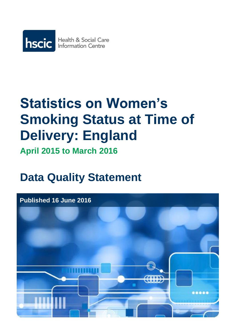

# **Statistics on Women's Smoking Status at Time of Delivery: England**

**April 2015 to March 2016**

# **Data Quality Statement**

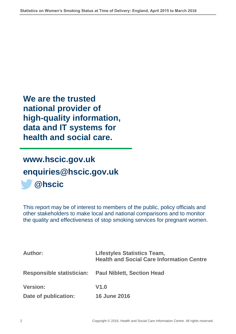**We are the trusted national provider of high-quality information, data and IT systems for health and social care.**

# **[www.hscic.gov.uk](http://www.hscic.gov.uk/) [enquiries@hscic.gov.uk](mailto:enquiries@hscic.gov.uk) @hscic**

This report may be of interest to members of the public, policy officials and other stakeholders to make local and national comparisons and to monitor the quality and effectiveness of stop smoking services for pregnant women.

| <b>Author:</b>                   | <b>Lifestyles Statistics Team,</b><br><b>Health and Social Care Information Centre</b> |  |
|----------------------------------|----------------------------------------------------------------------------------------|--|
| <b>Responsible statistician:</b> | <b>Paul Niblett, Section Head</b>                                                      |  |
| <b>Version:</b>                  | V1.0                                                                                   |  |
| Date of publication:             | <b>16 June 2016</b>                                                                    |  |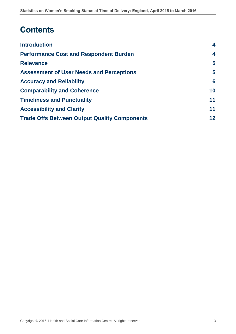# **Contents**

| <b>Introduction</b>                                 | 4  |
|-----------------------------------------------------|----|
| <b>Performance Cost and Respondent Burden</b>       | 4  |
| <b>Relevance</b>                                    | 5  |
| <b>Assessment of User Needs and Perceptions</b>     | 5  |
| <b>Accuracy and Reliability</b>                     | 6  |
| <b>Comparability and Coherence</b>                  | 10 |
| <b>Timeliness and Punctuality</b>                   | 11 |
| <b>Accessibility and Clarity</b>                    | 11 |
| <b>Trade Offs Between Output Quality Components</b> | 12 |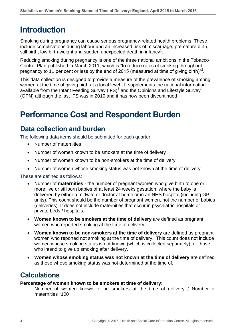# <span id="page-3-0"></span>**Introduction**

Smoking during pregnancy can cause serious pregnancy-related health problems. These include complications during labour and an increased risk of miscarriage, premature birth, still birth, low birth-weight and sudden unexpected death in infancy<sup>[1](#page-12-0)</sup>.

Reducing smoking during pregnancy is one of the three national ambitions in the Tobacco Control Plan published in March 2011, which is "to reduce rates of smoking throughout pregnancy to 11 per cent or less by the end of 2015 (measured at time of giving birth)"<sup>2</sup>[.](#page-12-1)

This data collection is designed to provide a measure of the prevalence of smoking among women at the time of giving birth at a local level. It supplements the national information available from the Infant Feeding Survey (IFS) $^3$  $^3$  and the Opinions and Lifestyle Survey<sup>[4](#page-12-3)</sup> (OPN) although the last IFS was in 2010 and it has now been discontinued.

# <span id="page-3-1"></span>**Performance Cost and Respondent Burden**

### **Data collection and burden**

The following data items should be submitted for each quarter:

- Number of maternities
- Number of women known to be smokers at the time of delivery
- Number of women known to be non-smokers at the time of delivery
- Number of women whose smoking status was not known at the time of delivery

These are defined as follows:

- Number of **maternities** the number of pregnant women who give birth to one or more live or stillborn babies of at least 24 weeks gestation, where the baby is delivered by either a midwife or doctor at home or in an NHS hospital (including GP units). This count should be the number of pregnant women, not the number of babies (deliveries). It does not include maternities that occur in psychiatric hospitals or private beds / hospitals.
- **Women known to be smokers at the time of delivery** are defined as pregnant women who reported smoking at the time of delivery.
- **Women known to be non-smokers at the time of delivery** are defined as pregnant women who reported not smoking at the time of delivery. This count does not include women whose smoking status is not known (which is collected separately), or those who intend to give up smoking after delivery.
- **Women whose smoking status was not known at the time of delivery** are defined as those whose smoking status was not determined at the time of.

### **Calculations**

#### **Percentage of women known to be smokers at time of delivery:**

Number of women known to be smokers at the time of delivery / Number of maternities \*100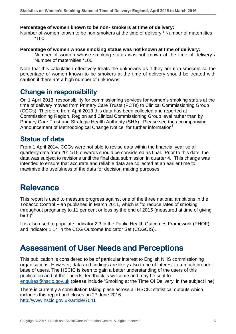#### **Percentage of women known to be non- smokers at time of delivery:**

Number of women known to be non-smokers at the time of delivery / Number of maternities \*100

#### **Percentage of women whose smoking status was not known at time of delivery:**

Number of women whose smoking status was not known at the time of delivery / Number of maternities \*100

Note that this calculation effectively treats the unknowns as if they are non-smokers so the percentage of women known to be smokers at the time of delivery should be treated with caution if there are a high number of unknowns.

### **Change in responsibility**

On 1 April 2013, responsibility for commissioning services for women's smoking status at the time of delivery moved from Primary Care Trusts (PCTs) to Clinical Commissioning Group (CCGs). Therefore from April 2013 this data has been collected and reported at Commissioning Region, Region and Clinical Commissioning Group level rather than by Primary Care Trust and Strategic Health Authority (SHA). Please see the accompanying Announcement of Methodological Change Notice for further information<sup>[5](#page-12-4)</sup>.

### **Status of data**

From 1 April 2014, CCGs were not able to revise data within the financial year so all quarterly data from 2014/15 onwards should be considered as final. Prior to this date, the data was subject to revisions until the final data submission in quarter 4. This change was intended to ensure that accurate and reliable data are collected at an earlier time to maximise the usefulness of the data for decision making purposes.

### <span id="page-4-0"></span>**Relevance**

This report is used to measure progress against one of the three national ambitions in the Tobacco Control Plan published in March 2011, which is "to reduce rates of smoking throughout pregnancy to 11 per cent or less by the end of 2015 (measured at time of giving birth) $\overline{r^2}$  $\overline{r^2}$  $\overline{r^2}$ .

It is also used to populate indicator 2.3 in the Public Health Outcomes Framework (PHOF) and indicator 1.14 in the CCG Outcome Indicator Set (CCGOIS).

### <span id="page-4-1"></span>**Assessment of User Needs and Perceptions**

This publication is considered to be of particular interest to English NHS commissioning organisations. However, data and findings are likely also to be of interest to a much broader base of users. The HSCIC is keen to gain a better understanding of the users of this publication and of their needs; feedback is welcome and may be sent to [enquires@hscic.gov.uk](mailto:enquires@hscic.gov.uk) (please include 'Smoking at the Time Of Delivery' in the subject line).

There is currently a consultation taking place across all HSCIC statistical outputs which includes this report and closes on 27 June 2016. <http://www.hscic.gov.uk/article/7041>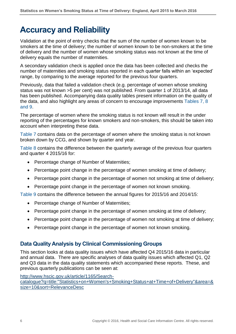# <span id="page-5-0"></span>**Accuracy and Reliability**

Validation at the point of entry checks that the sum of the number of women known to be smokers at the time of delivery; the number of women known to be non-smokers at the time of delivery and the number of women whose smoking status was not known at the time of delivery equals the number of maternities.

A secondary validation check is applied once the data has been collected and checks the number of maternities and smoking status reported in each quarter falls within an 'expected' range, by comparing to the average reported for the previous four quarters.

Previously, data that failed a validation check (e.g. percentage of women whose smoking status was not known >5 per cent) was not published. From quarter 1 of 2013/14, all data has been published. Accompanying data quality tables present information on the quality of the data, and also highlight any areas of concern to encourage improvements Tables 7, 8 and 9.

The percentage of women where the smoking status is not known will result in the under reporting of the percentages for known smokers and non-smokers, this should be taken into account when interpreting these data.

Table 7 contains data on the percentage of women where the smoking status is not known broken down by CCG, and shown by quarter and year.

Table 8 contains the difference between the quarterly average of the previous four quarters and quarter 4 2015/16 for:

- Percentage change of Number of Maternities;
- Percentage point change in the percentage of women smoking at time of delivery;
- Percentage point change in the percentage of women not smoking at time of delivery;
- Percentage point change in the percentage of women not known smoking.

Table 9 contains the difference between the annual figures for 2015/16 and 2014/15:

- Percentage change of Number of Maternities;
- Percentage point change in the percentage of women smoking at time of delivery;
- Percentage point change in the percentage of women not smoking at time of delivery;
- Percentage point change in the percentage of women not known smoking.

#### **Data Quality Analysis by Clinical Commissioning Groups**

This section looks at data quality issues which have affected Q4 2015/16 data in particular and annual data. There are specific analyses of data quality issues which affected Q1, Q2 and Q3 data in the data quality statements which accompanied these reports. These, and previous quarterly publications can be seen at:

[http://www.hscic.gov.uk/article/1165/Search](http://www.hscic.gov.uk/article/1165/Search-catalogue?q=title:%22Statistics+on+Women)[catalogue?q=title:"Statistics+on+Women's+Smoking+Status+at+Time+of+Delivery"&area=&](http://www.hscic.gov.uk/article/1165/Search-catalogue?q=title:%22Statistics+on+Women) [size=10&sort=RelevanceDesc](http://www.hscic.gov.uk/article/1165/Search-catalogue?q=title:%22Statistics+on+Women)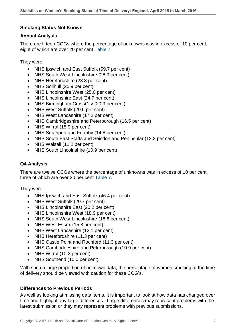#### **Smoking Status Not Known**

#### **Annual Analysis**

There are fifteen CCGs where the percentage of unknowns was in excess of 10 per cent, eight of which are over 20 per cent Table 7.

They were:

- NHS Ipswich and East Suffolk (59.7 per cent)
- NHS South West Lincolnshire (28.9 per cent)
- NHS Herefordshire (28.3 per cent)
- NHS Solihull (25.9 per cent)
- NHS Lincolnshire West (25.0 per cent)
- NHS Lincolnshire East (24.7 per cent)
- NHS Birmingham CrossCity (20.9 per cent)
- NHS West Suffolk (20.6 per cent)
- NHS West Lancashire (17.2 per cent)
- NHS Cambridgeshire and Peterborough (16.5 per cent)
- NHS Wirral (15.9 per cent)
- NHS Southport and Formby (14.8 per cent)
- NHS South East Staffs and Seisdon and Peninsular (12.2 per cent)
- NHS Walsall (11.2 per cent)
- NHS South Lincolnshire (10.9 per cent)

#### **Q4 Analysis**

There are twelve CCGs where the percentage of unknowns was in excess of 10 per cent, three of which are over 20 per cent Table 7.

They were:

- NHS Ipswich and East Suffolk (46.4 per cent)
- NHS West Suffolk (20.7 per cent)
- NHS Lincolnshire East (20.2 per cent)
- NHS Lincolnshire West (18.9 per cent)
- NHS South West Lincolnshire (18.6 per cent)
- NHS West Essex (15.8 per cent)
- NHS West Lancashire (12.1 per cent)
- NHS Herefordshire (11.3 per cent)
- NHS Castle Point and Rochford (11.3 per cent)
- NHS Cambridgeshire and Peterborough (10.9 per cent)
- NHS Wirral (10.2 per cent)
- NHS Southend (10.0 per cent)

With such a large proportion of unknown data, the percentage of women smoking at the time of delivery should be viewed with caution for these CCG's.

#### **Differences to Previous Periods**

As well as looking at missing data items, it is important to look at how data has changed over time and highlight any large differences. Large differences may represent problems with the latest submission or they may represent problems with previous submissions.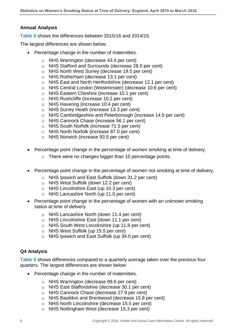#### **Annual Analysis**

Table 9 shows the differences between 2015/16 and 2014/15.

The largest differences are shown below:

- Percentage change in the number of maternities.
	- o NHS Warrington (decrease 43.4 per cent)
	- o NHS Stafford and Surrounds (decrease 28.0 per cent)
	- o NHS North West Surrey (decrease 19.5 per cent)
	- o NHS Rotherham (decrease 13.1 per cent)
	- o NHS East and North Hertfordshire (decrease 12.1 per cent)
	- o NHS Central London (Westminster) (decrease 10.6 per cent)
	- o NHS Eastern Cheshire (increase 10.1 per cent)
	- o NHS Rushcliffe (increase 10.2 per cent)
	- o NHS Havering (increase 10.4 per cent)
	- o NHS Surrey Heath (increase 13.3 per cent)
	- o NHS Cambridgeshire and Peterborough (increase 14.5 per cent)
	- o NHS Cannock Chase (increase 56.1 per cent)
	- o NHS South Norfolk (increase 71.5 per cent)
	- o NHS North Norfolk (increase 87.0 per cent)
	- o NHS Norwich (increase 93.5 per cent)
- Percentage point change in the percentage of women smoking at time of delivery.
	- o There were no changes bigger than 10 percentage points.
- Percentage point change in the percentage of women not smoking at time of delivery.
	- o NHS Ipswich and East Suffolk (down 31.2 per cent)
	- o NHS West Suffolk (down 12.2 per cent)
	- o NHS Lincolnshire East (up 10.3 per cent)
	- o NHS Lancashire North (up 11.0 per cent)
- Percentage point change in the percentage of women with an unknown smoking status at time of delivery.
	- o NHS Lancashire North (down 11.4 per cent)
	- o NHS Lincolnshire East (down 11.1 per cent)
	- o NHS South West Lincolnshire (up 11.8 per cent)
	- o NHS West Suffolk (up 15.5 per cent)
	- o NHS Ipswich and East Suffolk (up 34.0 per cent)

#### **Q4 Analysis**

Table 8 shows differences compared to a quarterly average taken over the previous four quarters. The largest differences are shown below:

- Percentage change in the number of maternities.
	- o NHS Warrington (decrease 89.6 per cent)
	- o NHS East Staffordshire (decrease 30.1 per cent)
	- o NHS Cannock Chase (decrease 27.9 per cent)
	- o NHS Basildon and Brentwood (decrease 15.8 per cent)
	- o NHS North Lincolnshire (decrease 15.5 per cent)
	- o NHS Nottingham West (decrease 15.3 per cent)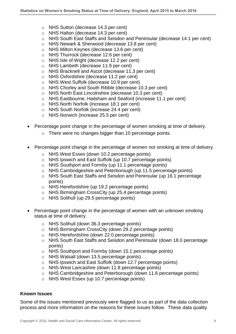- o NHS Sutton (decrease 14.3 per cent)
- o NHS Halton (decrease 14.3 per cent)
- o NHS South East Staffs and Seisdon and Peninsular (decrease 14.1 per cent)
- o NHS Newark & Sherwood (decrease 13.8 per cent)
- o NHS Milton Keynes (decrease 13.6 per cent)
- o NHS Thurrock (decrease 12.6 per cent)
- o NHS Isle of Wight (decrease 12.2 per cent)
- o NHS Lambeth (decrease 11.9 per cent)
- o NHS Bracknell and Ascot (decrease 11.3 per cent)
- o NHS Oxfordshire (decrease 11.2 per cent)
- o NHS West Suffolk (decrease 10.9 per cent)
- o NHS Chorley and South Ribble (decrease 10.3 per cent)
- o NHS North East Lincolnshire (decrease 10.3 per cent)
- o NHS Eastbourne, Hailsham and Seaford (increase 11.1 per cent)
- o NHS North Norfolk (increase 18.1 per cent)
- o NHS South Norfolk (increase 24.4 per cent)
- o NHS Norwich (increase 25.5 per cent)
- Percentage point change in the percentage of women smoking at time of delivery.
	- o There were no changes bigger than 10 percentage points.
- Percentage point change in the percentage of women not smoking at time of delivery.
	- o NHS West Essex (down 10.2 percentage points)
	- o NHS Ipswich and East Suffolk (up 10.7 percentage points)
	- o NHS Southport and Formby (up 11.1 percentage points)
	- o NHS Cambridgeshire and Peterborough (up 11.5 percentage points)
	- o NHS South East Staffs and Seisdon and Peninsular (up 16.1 percentage points)
	- o NHS Herefordshire (up 19.2 percentage points)
	- o NHS Birmingham CrossCity (up 25.4 percentage points)
	- o NHS Solihull (up 29.5 percentage points)
- Percentage point change in the percentage of women with an unknown smoking status at time of delivery.
	- o NHS Solihull (down 36.3 percentage points)
	- o NHS Birmingham CrossCity (down 29.2 percentage points)
	- o NHS Herefordshire (down 22.0 percentage points)
	- o NHS South East Staffs and Seisdon and Peninsular (down 18.0 percentage points)
	- o NHS Southport and Formby (down 15.1 percentage points)
	- o NHS Walsall (down 13.5 percentage points)
	- o NHS Ipswich and East Suffolk (down 12.7 percentage points)
	- o NHS West Lancashire (down 11.8 percentage points)
	- o NHS Cambridgeshire and Peterborough (down 11.6 percentage points)
	- o NHS West Essex (up 10.7 percentage points)

#### **Known Issues**

Some of the issues mentioned previously were flagged to us as part of the data collection process and more information on the reasons for these issues follow. These data quality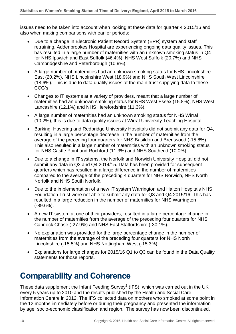issues need to be taken into account when looking at these data for quarter 4 2015/16 and also when making comparisons with earlier periods:

- Due to a change in Electronic Patient Record System (EPR) system and staff retraining, Addenbrookes Hospital are experiencing ongoing data quality issues. This has resulted in a large number of maternities with an unknown smoking status in Q4 for NHS Ipswich and East Suffolk (46.4%), NHS West Suffolk (20.7%) and NHS Cambridgeshire and Peterborough (10.9%).
- A large number of maternities had an unknown smoking status for NHS Lincolnshire East (20.2%), NHS Lincolnshire West (18.9%) and NHS South West Lincolnshire (18.6%). This is due to data quality issues at the main trust supplying data to these CCG's.
- Changes to IT systems at a variety of providers, meant that a large number of maternities had an unknown smoking status for NHS West Essex (15.8%), NHS West Lancashire (12.1%) and NHS Herefordshire (11.3%).
- A large number of maternities had an unknown smoking status for NHS Wirral (10.2%), this is due to data quality issues at Wirral University Teaching Hospital.
- Barking, Havering and Redbridge University Hospitals did not submit any data for Q4, resulting in a large percentage decrease in the number of maternities from the average of the preceding four quarters for NHS Basildon and Brentwood (-15.8%). This also resulted in a large number of maternities with an unknown smoking status for NHS Castle Point and Rochford (11.3%) and NHS Southend (10.0%).
- Due to a change in IT systems, the Norfolk and Norwich University Hospital did not submit any data in Q3 and Q4 2014/15. Data has been provided for subsequent quarters which has resulted in a large difference in the number of maternities compared to the average of the preceding 4 quarters for NHS Norwich, NHS North Norfolk and NHS South Norfolk.
- Due to the implementation of a new IT system Warrington and Halton Hospitals NHS Foundation Trust were not able to submit any data for Q3 and Q4 2015/16. This has resulted in a large reduction in the number of maternities for NHS Warrington (-89.6%).
- A new IT system at one of their providers, resulted in a large percentage change in the number of maternities from the average of the preceding four quarters for NHS Cannock Chase (-27.9%) and NHS East Staffordshire (-30.1%).
- No explanation was provided for the large percentage change in the number of maternities from the average of the preceding four quarters for NHS North Lincolnshire (-15.5%) and NHS Nottingham West (-15.3%).
- Explanations for large changes for 2015/16 Q1 to Q3 can be found in the Data Quality statements for those reports.

# <span id="page-9-0"></span>**Comparability and Coherence**

These data supplement the Infant Feeding Survey<sup>[3](#page-12-2)</sup> (IFS), which was carried out in the UK every 5 years up to 2010 and the results published by the Health and Social Care Information Centre in 2012. The IFS collected data on mothers who smoked at some point in the 12 months immediately before or during their pregnancy and presented the information by age, socio-economic classification and region. The survey has now been discontinued.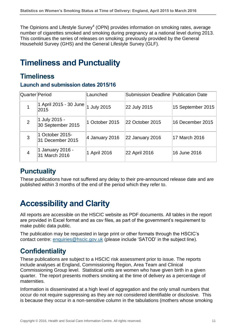The Opinions and Lifestyle Survey $4$  (OPN) provides information on smoking rates, average number of cigarettes smoked and smoking during pregnancy at a national level during 2013. This continues the series of releases on smoking; previously provided by the General Household Survey (GHS) and the General Lifestyle Survey (GLF).

# <span id="page-10-0"></span>**Timeliness and Punctuality**

### **Timeliness**

#### **Launch and submission dates 2015/16**

| Quarter Period |                                          | Launched          | Submission Deadline Publication Date |                   |
|----------------|------------------------------------------|-------------------|--------------------------------------|-------------------|
|                | ∣1 April 2015 - 30 June <b>∣</b><br>2015 | 1 July 2015       | 22 July 2015                         | 15 September 2015 |
| 2              | 1 July 2015 -<br>30 September 2015       | 1 October 2015    | 22 October 2015                      | 16 December 2015  |
| 3              | 1 October 2015-<br>31 December 2015      | $ 4$ January 2016 | 22 January 2016                      | 17 March 2016     |
| $\overline{4}$ | 1 January 2016 -<br>31 March 2016        | 1 April 2016      | 22 April 2016                        | 16 June 2016      |

### **Punctuality**

These publications have not suffered any delay to their pre-announced release date and are published within 3 months of the end of the period which they refer to.

# <span id="page-10-1"></span>**Accessibility and Clarity**

All reports are accessible on the HSCIC website as PDF documents. All tables in the report are provided in Excel format and as csv files, as part of the government's requirement to make public data public.

The publication may be requested in large print or other formats through the HSCIC's contact centre: [enquiries@hscic.gov.uk](mailto:enquiries@hscic.gov.uk) (please include 'SATOD' in the subject line).

### **Confidentiality**

These publications are subject to a HSCIC risk assessment prior to issue. The reports include analyses at England, Commissioning Region, Area Team and Clinical Commissioning Group level. Statistical units are women who have given birth in a given quarter. The report presents mothers smoking at the time of delivery as a percentage of maternities.

Information is disseminated at a high level of aggregation and the only small numbers that occur do not require suppressing as they are not considered identifiable or disclosive. This is because they occur in a non-sensitive column in the tabulations (mothers whose smoking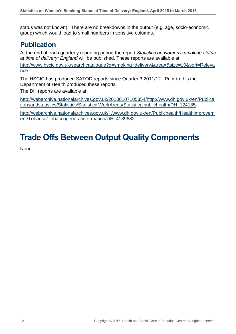status was not known). There are no breakdowns in the output (e.g. age, socio-economic group) which would lead to small numbers in sensitive columns.

### **Publication**

At the end of each quarterly reporting period the report *Statistics on women's smoking status at time of delivery: England* will be published. These reports are available at:

[http://www.hscic.gov.uk/searchcatalogue?q=smoking+delivery&area=&size=10&sort=Releva](http://www.hscic.gov.uk/searchcatalogue?q=smoking+delivery&area=&size=10&sort=Relevance) [nce](http://www.hscic.gov.uk/searchcatalogue?q=smoking+delivery&area=&size=10&sort=Relevance)

The HSCIC has produced SATOD reports since Quarter 3 2011/12. Prior to this the Department of Health produced these reports.

The DH reports are available at:

[http://webarchive.nationalarchives.gov.uk/20130107105354/http://www.dh.gov.uk/en/Publica](http://webarchive.nationalarchives.gov.uk/20130107105354/http:/www.dh.gov.uk/en/Publicationsandstatistics/Statistics/StatisticalWorkAreas/Statisticalpublichealth/DH_124185) [tionsandstatistics/Statistics/StatisticalWorkAreas/Statisticalpublichealth/DH\\_124185](http://webarchive.nationalarchives.gov.uk/20130107105354/http:/www.dh.gov.uk/en/Publicationsandstatistics/Statistics/StatisticalWorkAreas/Statisticalpublichealth/DH_124185)

[http://webarchive.nationalarchives.gov.uk/+/www.dh.gov.uk/en/Publichealth/Healthimprovem](http://webarchive.nationalarchives.gov.uk/+/www.dh.gov.uk/en/Publichealth/Healthimprovement/Tobacco/Tobaccogeneralinformation/DH_4139682) [ent/Tobacco/Tobaccogeneralinformation/DH\\_4139682](http://webarchive.nationalarchives.gov.uk/+/www.dh.gov.uk/en/Publichealth/Healthimprovement/Tobacco/Tobaccogeneralinformation/DH_4139682)

# <span id="page-11-0"></span>**Trade Offs Between Output Quality Components**

None.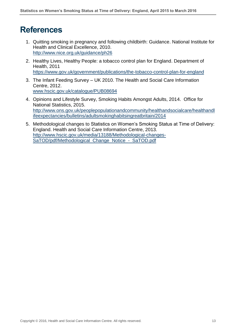### **References**

- <span id="page-12-0"></span>1. Quitting smoking in pregnancy and following childbirth: Guidance. National Institute for Health and Clinical Excellence, 2010. <http://www.nice.org.uk/guidance/ph26>
- <span id="page-12-1"></span>2. Healthy Lives, Healthy People: a tobacco control plan for England. Department of Health, 2011 <https://www.gov.uk/government/publications/the-tobacco-control-plan-for-england>
- <span id="page-12-2"></span>3. The Infant Feeding Survey – UK 2010. The Health and Social Care Information Centre, 2012. [www.hscic.gov.uk/catalogue/PUB08694](http://www.hscic.gov.uk/catalogue/PUB08694)
- <span id="page-12-3"></span>4. Opinions and Lifestyle Survey, Smoking Habits Amongst Adults, 2014. Office for National Statistics, 2015. [http://www.ons.gov.uk/peoplepopulationandcommunity/healthandsocialcare/healthandl](http://www.ons.gov.uk/peoplepopulationandcommunity/healthandsocialcare/healthandlifeexpectancies/bulletins/adultsmokinghabitsingreatbritain/2014) [ifeexpectancies/bulletins/adultsmokinghabitsingreatbritain/2014](http://www.ons.gov.uk/peoplepopulationandcommunity/healthandsocialcare/healthandlifeexpectancies/bulletins/adultsmokinghabitsingreatbritain/2014)
- <span id="page-12-4"></span>5. Methodological changes to Statistics on Women's Smoking Status at Time of Delivery: England. Health and Social Care Information Centre, 2013. [http://www.hscic.gov.uk/media/13188/Methodological-changes-](http://www.hscic.gov.uk/media/13188/Methodological-changes-SaTOD/pdf/Methodological_Change_Notice_-_SaTOD.pdf)[SaTOD/pdf/Methodological\\_Change\\_Notice\\_-\\_SaTOD.pdf](http://www.hscic.gov.uk/media/13188/Methodological-changes-SaTOD/pdf/Methodological_Change_Notice_-_SaTOD.pdf)